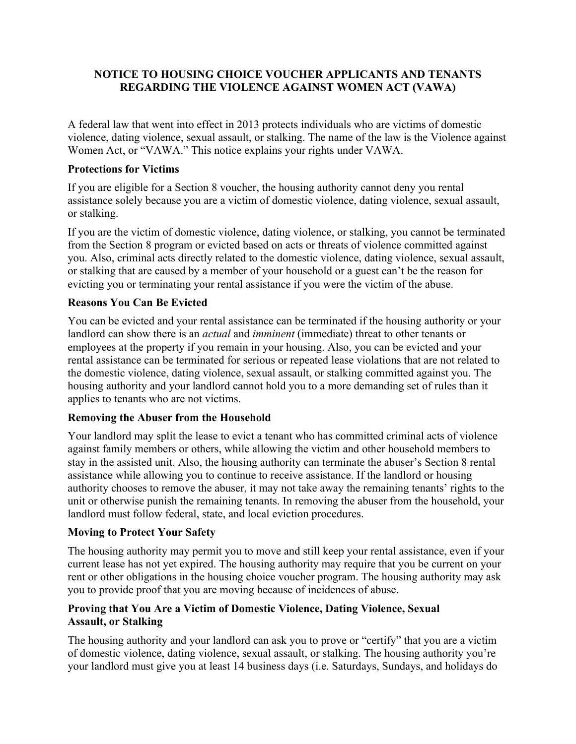## **NOTICE TO HOUSING CHOICE VOUCHER APPLICANTS AND TENANTS REGARDING THE VIOLENCE AGAINST WOMEN ACT (VAWA)**

A federal law that went into effect in 2013 protects individuals who are victims of domestic violence, dating violence, sexual assault, or stalking. The name of the law is the Violence against Women Act, or "VAWA." This notice explains your rights under VAWA.

#### **Protections for Victims**

If you are eligible for a Section 8 voucher, the housing authority cannot deny you rental assistance solely because you are a victim of domestic violence, dating violence, sexual assault, or stalking.

If you are the victim of domestic violence, dating violence, or stalking, you cannot be terminated from the Section 8 program or evicted based on acts or threats of violence committed against you. Also, criminal acts directly related to the domestic violence, dating violence, sexual assault, or stalking that are caused by a member of your household or a guest can't be the reason for evicting you or terminating your rental assistance if you were the victim of the abuse.

# **Reasons You Can Be Evicted**

You can be evicted and your rental assistance can be terminated if the housing authority or your landlord can show there is an *actual* and *imminent* (immediate) threat to other tenants or employees at the property if you remain in your housing. Also, you can be evicted and your rental assistance can be terminated for serious or repeated lease violations that are not related to the domestic violence, dating violence, sexual assault, or stalking committed against you. The housing authority and your landlord cannot hold you to a more demanding set of rules than it applies to tenants who are not victims.

### **Removing the Abuser from the Household**

Your landlord may split the lease to evict a tenant who has committed criminal acts of violence against family members or others, while allowing the victim and other household members to stay in the assisted unit. Also, the housing authority can terminate the abuser's Section 8 rental assistance while allowing you to continue to receive assistance. If the landlord or housing authority chooses to remove the abuser, it may not take away the remaining tenants' rights to the unit or otherwise punish the remaining tenants. In removing the abuser from the household, your landlord must follow federal, state, and local eviction procedures.

### **Moving to Protect Your Safety**

The housing authority may permit you to move and still keep your rental assistance, even if your current lease has not yet expired. The housing authority may require that you be current on your rent or other obligations in the housing choice voucher program. The housing authority may ask you to provide proof that you are moving because of incidences of abuse.

### **Proving that You Are a Victim of Domestic Violence, Dating Violence, Sexual Assault, or Stalking**

The housing authority and your landlord can ask you to prove or "certify" that you are a victim of domestic violence, dating violence, sexual assault, or stalking. The housing authority you're your landlord must give you at least 14 business days (i.e. Saturdays, Sundays, and holidays do